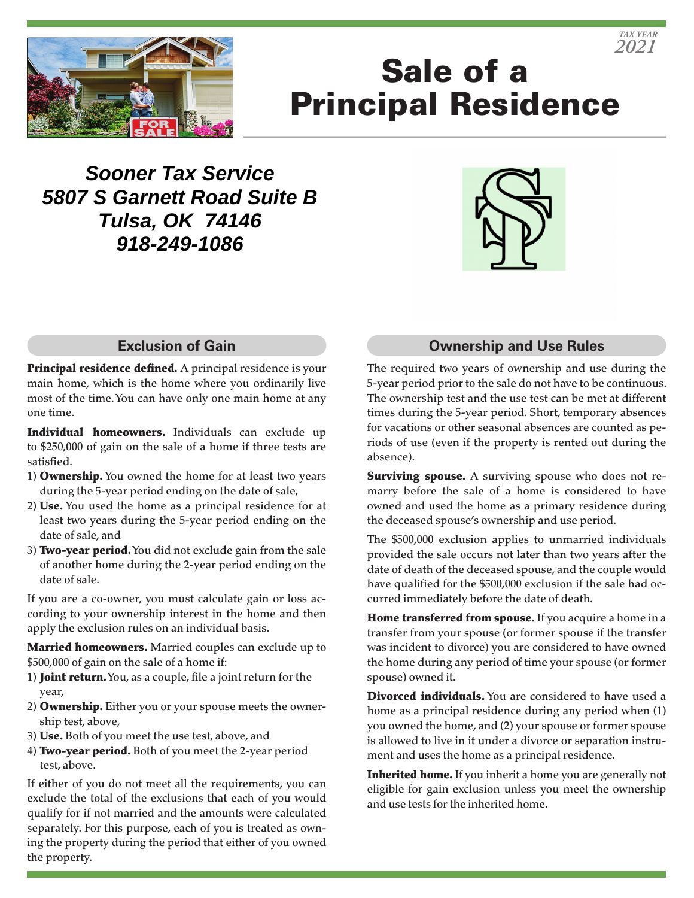

# Sale of a Principal Residence

**Sooner Tax Service 5807 S Garnett Road Suite B Tulsa, OK 74146 918-249-1086**



## **Exclusion of Gain**

Principal residence defined. A principal residence is your main home, which is the home where you ordinarily live most of the time. You can have only one main home at any one time.

Individual homeowners. Individuals can exclude up to \$250,000 of gain on the sale of a home if three tests are satisfied.

- 1) **Ownership.** You owned the home for at least two years during the 5-year period ending on the date of sale,
- 2) Use. You used the home as a principal residence for at least two years during the 5-year period ending on the date of sale, and
- 3) Two-year period. You did not exclude gain from the sale of another home during the 2-year period ending on the date of sale.

If you are a co-owner, you must calculate gain or loss according to your ownership interest in the home and then apply the exclusion rules on an individual basis.

Married homeowners. Married couples can exclude up to \$500,000 of gain on the sale of a home if:

- 1) **Joint return.** You, as a couple, file a joint return for the year,
- 2) Ownership. Either you or your spouse meets the ownership test, above,
- 3) Use. Both of you meet the use test, above, and
- 4) Two-year period. Both of you meet the 2-year period test, above.

If either of you do not meet all the requirements, you can exclude the total of the exclusions that each of you would qualify for if not married and the amounts were calculated separately. For this purpose, each of you is treated as owning the property during the period that either of you owned the property.

### **Ownership and Use Rules**

The required two years of ownership and use during the 5-year period prior to the sale do not have to be continuous. The ownership test and the use test can be met at different times during the 5-year period. Short, temporary absences for vacations or other seasonal absences are counted as periods of use (even if the property is rented out during the absence).

**Surviving spouse.** A surviving spouse who does not remarry before the sale of a home is considered to have owned and used the home as a primary residence during the deceased spouse's ownership and use period.

The \$500,000 exclusion applies to unmarried individuals provided the sale occurs not later than two years after the date of death of the deceased spouse, and the couple would have qualified for the \$500,000 exclusion if the sale had occurred immediately before the date of death.

Home transferred from spouse. If you acquire a home in a transfer from your spouse (or former spouse if the transfer was incident to divorce) you are considered to have owned the home during any period of time your spouse (or former spouse) owned it.

**Divorced individuals.** You are considered to have used a home as a principal residence during any period when (1) you owned the home, and (2) your spouse or former spouse is allowed to live in it under a divorce or separation instrument and uses the home as a principal residence.

Inherited home. If you inherit a home you are generally not eligible for gain exclusion unless you meet the ownership and use tests for the inherited home.